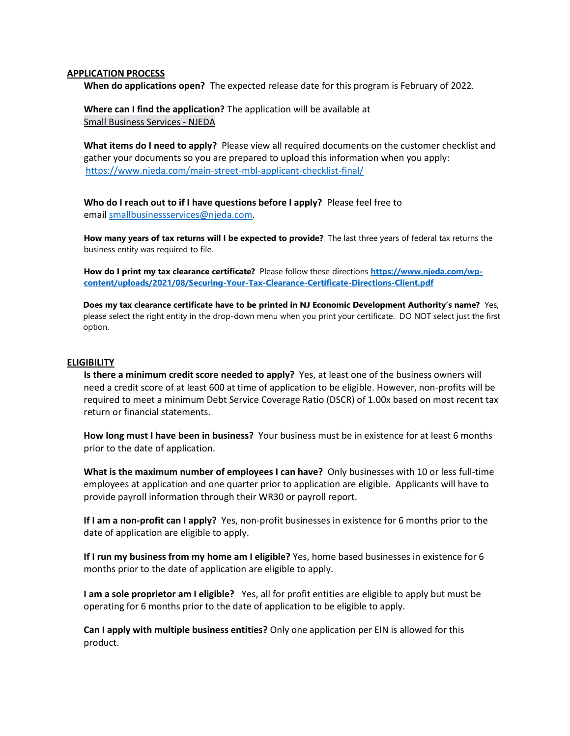## **APPLICATION PROCESS**

**When do applications open?** The expected release date for this program is February of 2022.

**Where can I find the application?** The application will be available at Small Business Services - NJEDA

**What items do I need to apply?** Please view all required documents on the customer checklist and gather your documents so you are prepared to upload this information when you apply: <https://www.njeda.com/main-street-mbl-applicant-checklist-final/>

**Who do I reach out to if I have questions before I apply?** Please feel free to email [smallbusinessservices@njeda.com.](mailto:smallbusinessservices@njeda.com)

**How many years of tax returns will I be expected to provide?** The last three years of federal tax returns the business entity was required to file.

**How do I print my tax clearance certificate?** Please follow these directions **[https://www.njeda.com/wp](https://www.njeda.com/wp-content/uploads/2021/08/Securing-Your-Tax-Clearance-Certificate-Directions-Client.pdf)[content/uploads/2021/08/Securing-Your-Tax-Clearance-Certificate-Directions-Client.pdf](https://www.njeda.com/wp-content/uploads/2021/08/Securing-Your-Tax-Clearance-Certificate-Directions-Client.pdf)**

**Does my tax clearance certificate have to be printed in NJ Economic Development Authority's name?** Yes, please select the right entity in the drop-down menu when you print your certificate. DO NOT select just the first option.

## **ELIGIBILITY**

**Is there a minimum credit score needed to apply?** Yes, at least one of the business owners will need a credit score of at least 600 at time of application to be eligible. However, non-profits will be required to meet a minimum Debt Service Coverage Ratio (DSCR) of 1.00x based on most recent tax return or financial statements.

**How long must I have been in business?** Your business must be in existence for at least 6 months prior to the date of application.

**What is the maximum number of employees I can have?** Only businesses with 10 or less full-time employees at application and one quarter prior to application are eligible. Applicants will have to provide payroll information through their WR30 or payroll report.

**If I am a non-profit can I apply?** Yes, non-profit businesses in existence for 6 months prior to the date of application are eligible to apply.

**If I run my business from my home am I eligible?** Yes, home based businesses in existence for 6 months prior to the date of application are eligible to apply.

**I am a sole proprietor am I eligible?** Yes, all for profit entities are eligible to apply but must be operating for 6 months prior to the date of application to be eligible to apply.

**Can I apply with multiple business entities?** Only one application per EIN is allowed for this product.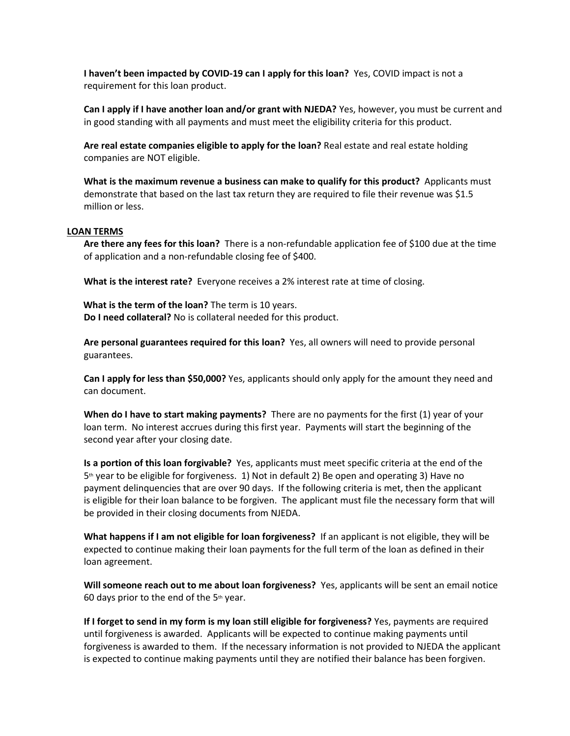**I haven't been impacted by COVID-19 can I apply for this loan?** Yes, COVID impact is not a requirement for this loan product.

**Can I apply if I have another loan and/or grant with NJEDA?** Yes, however, you must be current and in good standing with all payments and must meet the eligibility criteria for this product.

**Are real estate companies eligible to apply for the loan?** Real estate and real estate holding companies are NOT eligible.

**What is the maximum revenue a business can make to qualify for this product?** Applicants must demonstrate that based on the last tax return they are required to file their revenue was \$1.5 million or less.

## **LOAN TERMS**

**Are there any fees for this loan?** There is a non-refundable application fee of \$100 due at the time of application and a non-refundable closing fee of \$400.

**What is the interest rate?** Everyone receives a 2% interest rate at time of closing.

 **What is the term of the loan?** The term is 10 years. **Do I need collateral?** No is collateral needed for this product.

**Are personal guarantees required for this loan?** Yes, all owners will need to provide personal guarantees.

**Can I apply for less than \$50,000?** Yes, applicants should only apply for the amount they need and can document.

**When do I have to start making payments?** There are no payments for the first (1) year of your loan term. No interest accrues during this first year. Payments will start the beginning of the second year after your closing date.

**Is a portion of this loan forgivable?** Yes, applicants must meet specific criteria at the end of the  $5<sup>th</sup>$  year to be eligible for forgiveness. 1) Not in default 2) Be open and operating 3) Have no payment delinquencies that are over 90 days. If the following criteria is met, then the applicant is eligible for their loan balance to be forgiven. The applicant must file the necessary form that will be provided in their closing documents from NJEDA.

**What happens if I am not eligible for loan forgiveness?** If an applicant is not eligible, they will be expected to continue making their loan payments for the full term of the loan as defined in their loan agreement.

**Will someone reach out to me about loan forgiveness?** Yes, applicants will be sent an email notice 60 days prior to the end of the  $5<sup>th</sup>$  year.

**If I forget to send in my form is my loan still eligible for forgiveness?** Yes, payments are required until forgiveness is awarded. Applicants will be expected to continue making payments until forgiveness is awarded to them. If the necessary information is not provided to NJEDA the applicant is expected to continue making payments until they are notified their balance has been forgiven.